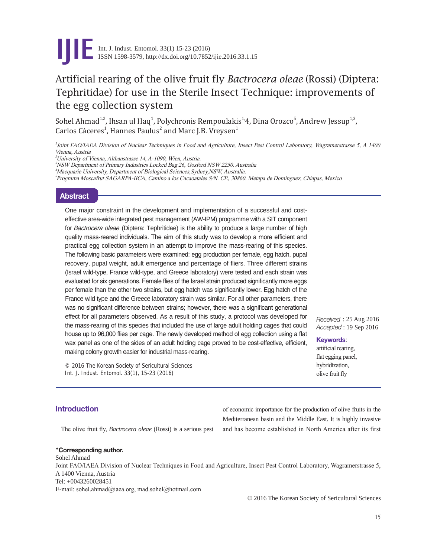

# Artificial rearing of the olive fruit fly *Bactrocera oleae* (Rossi) (Diptera: Tephritidae) for use in the Sterile Insect Technique: improvements of the egg collection system

Sohel Ahmad<sup>1,2</sup>, Ihsan ul Haq<sup>1</sup>, Polychronis Rempoulakis<sup>1,</sup>4, Dina Orozco<sup>5</sup>, Andrew Jessup<sup>1,3</sup>, Carlos Cáceres<sup>1</sup>, Hannes Paulus<sup>2</sup> and Marc J.B. Vreysen<sup>1</sup>

1 Joint FAO/IAEA Division of Nuclear Techniques in Food and Agriculture, Insect Pest Control Laboratory, Wagramerstrasse 5, A 1400 Vienna, Austria

<sup>2</sup>University of Vienna, Althanstrasse 14, A-1090, Wien, Austria.

3 NSW Department of Primary Industries Locked Bag 26, Gosford NSW 2250. Australia

4 Macquarie University, Department of Biological Sciences,Sydney,NSW, Australia.

5 Programa Moscafrut SAGARPA-IICA, Camino a los Cacaoatales S/N. CP., 30860. Metapa de Domínguez, Chiapas, Mexico

### **Abstract**

One major constraint in the development and implementation of a successful and costeffective area-wide integrated pest management (AW-IPM) programme with a SIT component for *Bactrocera oleae* (Diptera: Tephritidae) is the ability to produce a large number of high quality mass-reared individuals. The aim of this study was to develop a more efficient and practical egg collection system in an attempt to improve the mass-rearing of this species. The following basic parameters were examined: egg production per female, egg hatch, pupal recovery, pupal weight, adult emergence and percentage of fliers. Three different strains (Israel wild-type, France wild-type, and Greece laboratory) were tested and each strain was evaluated for six generations. Female flies of the Israel strain produced significantly more eggs per female than the other two strains, but egg hatch was significantly lower. Egg hatch of the France wild type and the Greece laboratory strain was similar. For all other parameters, there was no significant difference between strains; however, there was a significant generational effect for all parameters observed. As a result of this study, a protocol was developed for the mass-rearing of this species that included the use of large adult holding cages that could house up to 96,000 flies per cage. The newly developed method of egg collection using a flat wax panel as one of the sides of an adult holding cage proved to be cost-effective, efficient, making colony growth easier for industrial mass-rearing.

© 2016 The Korean Society of Sericultural Sciences Int. J. Indust. Entomol. 33(1), 15-23 (2016)

*Received* : 25 Aug 2016 *Accepted* : 19 Sep 2016

**Keywords**:

artificial rearing, flat egging panel, hybridization, olive fruit fly

## **Introduction**

The olive fruit fly, *Bactrocera oleae* (Rossi) is a serious pest

of economic importance for the production of olive fruits in the Mediterranean basin and the Middle East. It is highly invasive and has become established in North America after its first

#### \***Corresponding author.**

Sohel Ahmad Joint FAO/IAEA Division of Nuclear Techniques in Food and Agriculture, Insect Pest Control Laboratory, Wagramerstrasse 5, A 1400 Vienna, Austria Tel: +0043260028451 E-mail: sohel.ahmad@iaea.org, mad.sohel@hotmail.com

© 2016 The Korean Society of Sericultural Sciences